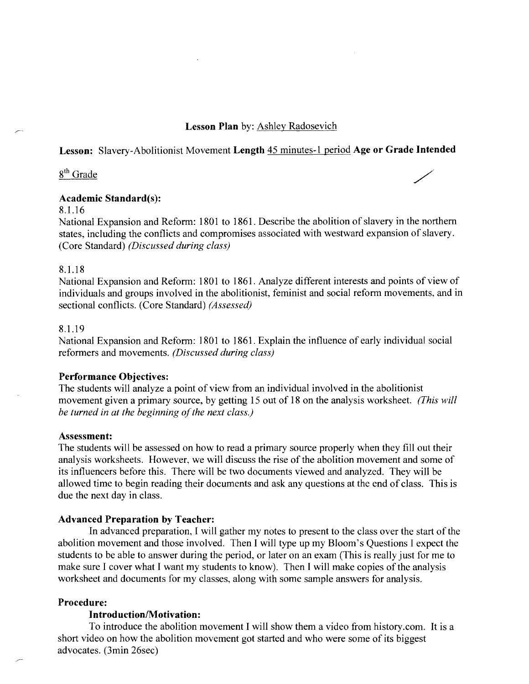### **Lesson Plan** by: Ashley Radosevich

### **Lesson:** Slavery-Abolitionist Movement **Length** 45 minutes-1 period **Age or Grade Intended**

8<sup>th</sup> Grade

### **Academic Standard(s):**

8.1.16

National Expansion and Reform: 1801 to 1861. Describe the abolition of slavery in the northern states, including the conflicts and compromises associated with westward expansion of slavery. (Core Standard) *(Discussed during class)* 

#### 8.1.18

National Expansion and Reform: 1801 to 1861. Analyze different interests and points of view of individuals and groups involved in the abolitionist, feminist and social reform movements, and in sectional conflicts. (Core Standard) *(Assessed)* 

### 8.1.19

National Expansion and Reform: 1801 to 1861. Explain the influence of early individual social reformers and movements. *(Discussed during class)* 

#### **Performance Objectives:**

The students will analyze a point of view from an individual involved in the abolitionist movement given a primary source, by getting 15 out of 18 on the analysis worksheet. *(This will be turned in at the beginning of the next class.)* 

#### **Assessment:**

The students will be assessed on how to read a primary source properly when they fill out their analysis worksheets. However, we will discuss the rise of the abolition movement and some of its influencers before this. There will be two documents viewed and analyzed. They will be allowed time to begin reading their documents and ask any questions at the end of class. This is due the next day in class.

#### **Advanced Preparation by Teacher:**

**In** advanced preparation, I will gather my notes to present to the class over the start of the abolition movement and those involved. Then I will type up my Bloom's Questions I expect the students to be able to answer during the period, or later on an exam (This is really just for me to make sure I cover what I want my students to know). Then I will make copies of the analysis worksheet and documents for my classes, along with some sample answers for analysis.

### **Procedure:**

#### **Introduction/Motivation:**

To introduce the abolition movement I will show them a video from history.com. It is a short video on how the abolition movement got started and who were some of its biggest advocates. (3min 26sec)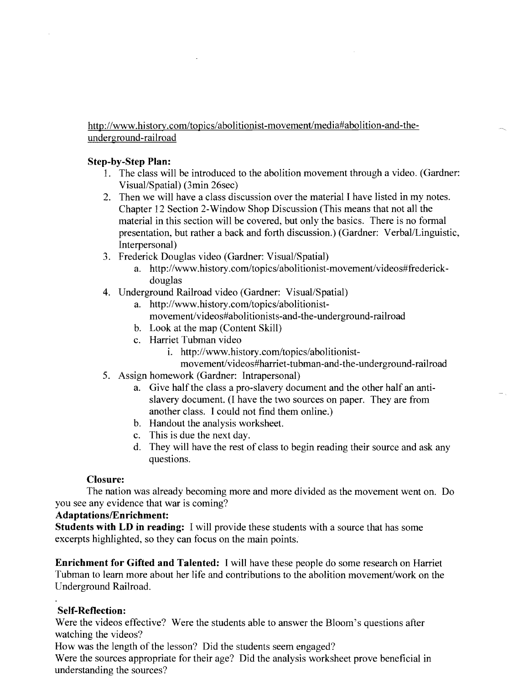http://www.historv.com/topics/abolitionist-movement/media#abolition-and-theunderground-railroad

### **Step-by-Step Plan:**

- 1. The class will be introduced to the abolition movement through a video. (Gardner: Visual/Spatial) (3min 26sec)
- 2. Then we will have a class discussion over the material I have listed in my notes. Chapter 12 Section 2-Window Shop Discussion (This means that not all the material in this section will be covered, but only the basics. There is no formal presentation, but rather a back and forth discussion.) (Gardner: Verbal/Linguistic, Interpersonal)
- 3. Frederick Douglas video (Gardner: Visual/Spatial)
	- a. http://www.history.com/topics/abolitionist-movement/videos#frederickdouglas
- 4. Underground Railroad video (Gardner: Visual/Spatial)
	- a. http://www.history.com/topics/abolitionistmovement/videos#abolitionists-and-the-underground-railroad
	- b. Look at the map (Content Skill)
	- c. Harriet Tubman video
		- i. http://www.history.com/topics/abolitionist
			- movement/videos#harriet-tubman-and-the-underground-railroad
- 5. Assign homework (Gardner: Intrapersonal)
	- a. Give half the class a pro-slavery document and the other half an antislavery document. (I have the two sources on paper. They are from another class. I could not find them online.)
	- b. Handout the analysis worksheet.
	- c. This is due the next day.
	- d. They will have the rest of class to begin reading their source and ask any questions.

### **Closure:**

The nation was already becoming more and more divided as the movement went on. Do you see any evidence that war is coming?

### Adaptations/Enrichment:

**Students with LD in reading:** I will provide these students with a source that has some excerpts highlighted, so they can focus on the main points.

**Enrichment for Gifted and Talented:** I will have these people do some research on Harriet Tubman to learn more about her life and contributions to the abolition movement/work on the Underground Railroad.

### **Self-Reflection:**

Were the videos effective? Were the students able to answer the Bloom's questions after watching the videos?

How was the length of the lesson? Did the students seem engaged?

Were the sources appropriate for their age? Did the analysis worksheet prove beneficial in understanding the sources?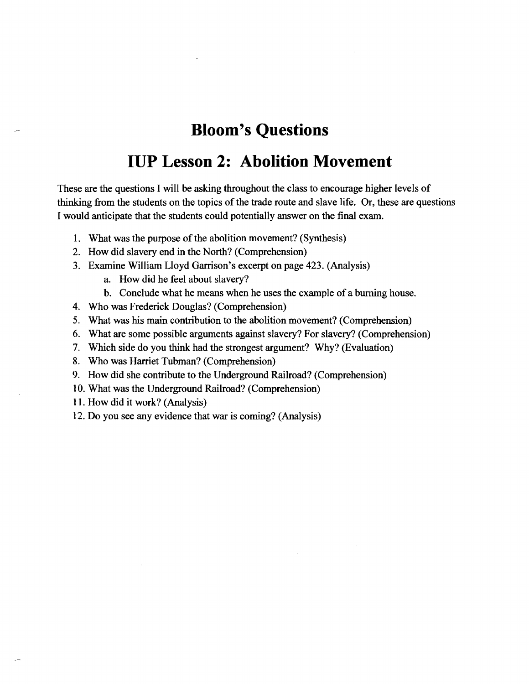# **Bloom's Questions**

# **IUP Lesson 2: Abolition Movement**

These are the questions I will be asking throughout the class to encourage higher levels of thinking from the students on the topics of the trade route and slave life. Or, these are questions I would anticipate that the students could potentially answer on the final exam.

- 1. What was the purpose of the abolition movement? (Synthesis)
- 2. How did slavery end in the North? (Comprehension)
- 3. Examine William Lloyd Garrison's excerpt on page 423. (Analysis)
	- a. How did he feel about slavery?
	- b. Conclude what he means when he uses the example of a burning house.
- 4. Who was Frederick Douglas? (Comprehension)
- 5. What was his main contribution to the abolition movement? (Comprehension)
- 6. What are some possible arguments against slavery? For slavery? (Comprehension)
- 7. Which side do you think had the strongest argument? Why? (Evaluation)
- 8. Who was Harriet Tubman? (Comprehension)
- 9. How did she contribute to the Underground Railroad? (Comprehension)
- 10. What was the Underground Railroad? (Comprehension)
- 11. How did it work? (Analysis)
- 12. Do you see any evidence that war is coming? (Analysis)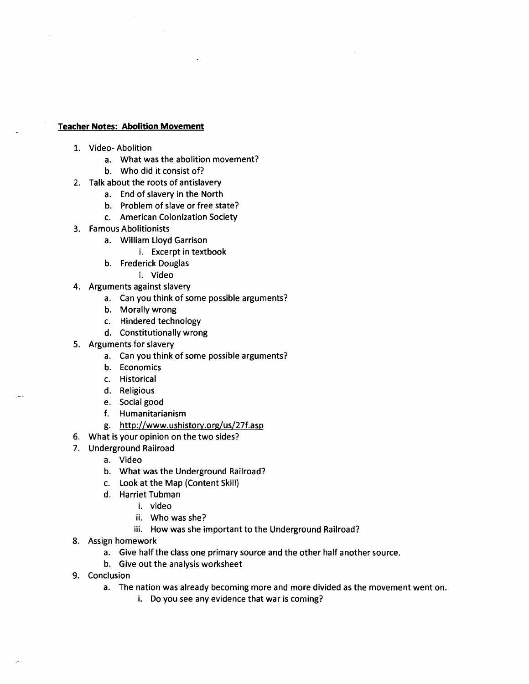#### **Teacher Notes: Abolition Movement**

- 1. Video- Abolition
	- a. What was the abolition movement?
	- b. Who did it consist of?
- 2. Talk about the roots of antislavery
	- a. End of slavery in the North
	- b. Problem of slave or free state?
	- c. American Colonization Society
- 3. Famous Abolitionists
	- a. William Lloyd Garrison
		- i. Excerpt in textbook
	- b. Frederick Douglas
		- i. Video
- 4. Arguments against slavery
	- a. Can you think of some possible arguments?
	- b. Morally wrong
	- c. Hindered technology
	- d. Constitutionally wrong
- 5. Arguments for slavery
	- a. Can you think of some possible arguments?
	- b. Economics
	- c. Historical
	- d. Religious
	- e. Social good
	- f. Humanitarianism
	- g. http://www.ushistory.org/us/27f.asp
- 6. What is your opinion on the two sides?
- 7. Underground Railroad
	- a. Video
	- b. What was the Underground Railroad?
	- c. Look at the Map (Content Skill)
	- d. Harriet Tubman
		- i. video
		- ii. Who was she?
		- iii. How was she important to the Underground Railroad?
- 8. Assign homework
	- a. Give half the class one primary source and the other half another source.
	- b. Give out the analysis worksheet
- 9. Conclusion
	- a. The nation was already becoming more and more divided as the movement went on.
		- i. Do you see any evidence that war is coming?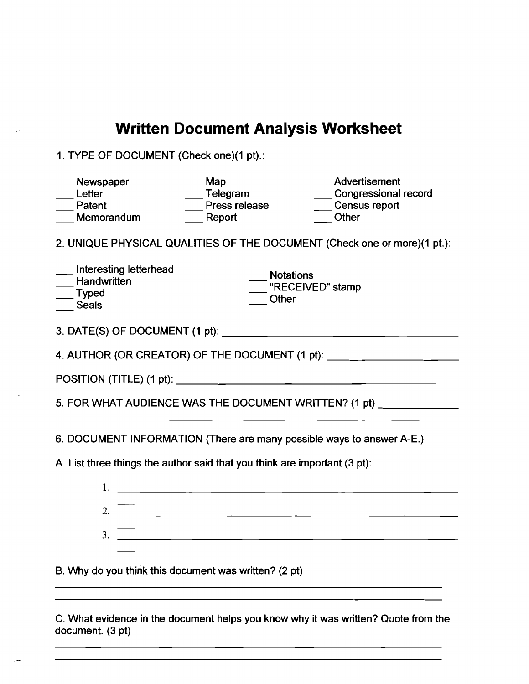# **Written Document Analysis Worksheet**

1. TYPE OF DOCUMENT (Check one)(1 pt).:

| Newspaper<br>Letter<br>Patent<br>Memorandum                                                                                                                                                                                                                                                                            | Map<br>Telegram<br>Press release<br>Report    | Advertisement<br>Congressional record<br>Census report<br>Other |  |  |  |  |  |
|------------------------------------------------------------------------------------------------------------------------------------------------------------------------------------------------------------------------------------------------------------------------------------------------------------------------|-----------------------------------------------|-----------------------------------------------------------------|--|--|--|--|--|
| 2. UNIQUE PHYSICAL QUALITIES OF THE DOCUMENT (Check one or more)(1 pt.):                                                                                                                                                                                                                                               |                                               |                                                                 |  |  |  |  |  |
| Interesting letterhead<br>Handwritten<br>$\overline{\phantom{a}}$ Typed<br><b>Seals</b>                                                                                                                                                                                                                                | <b>Notations</b><br>"RECEIVED" stamp<br>Other |                                                                 |  |  |  |  |  |
|                                                                                                                                                                                                                                                                                                                        |                                               |                                                                 |  |  |  |  |  |
| 4. AUTHOR (OR CREATOR) OF THE DOCUMENT (1 pt): _________________________________                                                                                                                                                                                                                                       |                                               |                                                                 |  |  |  |  |  |
|                                                                                                                                                                                                                                                                                                                        |                                               |                                                                 |  |  |  |  |  |
| 5. FOR WHAT AUDIENCE WAS THE DOCUMENT WRITTEN? (1 pt)                                                                                                                                                                                                                                                                  |                                               |                                                                 |  |  |  |  |  |
| 6. DOCUMENT INFORMATION (There are many possible ways to answer A-E.)                                                                                                                                                                                                                                                  |                                               |                                                                 |  |  |  |  |  |
| A. List three things the author said that you think are important (3 pt):                                                                                                                                                                                                                                              |                                               |                                                                 |  |  |  |  |  |
|                                                                                                                                                                                                                                                                                                                        |                                               |                                                                 |  |  |  |  |  |
|                                                                                                                                                                                                                                                                                                                        |                                               |                                                                 |  |  |  |  |  |
| 3. $\frac{1}{2}$ $\frac{1}{2}$ $\frac{1}{2}$ $\frac{1}{2}$ $\frac{1}{2}$ $\frac{1}{2}$ $\frac{1}{2}$ $\frac{1}{2}$ $\frac{1}{2}$ $\frac{1}{2}$ $\frac{1}{2}$ $\frac{1}{2}$ $\frac{1}{2}$ $\frac{1}{2}$ $\frac{1}{2}$ $\frac{1}{2}$ $\frac{1}{2}$ $\frac{1}{2}$ $\frac{1}{2}$ $\frac{1}{2}$ $\frac{1}{2}$ $\frac{1}{2}$ |                                               |                                                                 |  |  |  |  |  |
|                                                                                                                                                                                                                                                                                                                        |                                               |                                                                 |  |  |  |  |  |
| B. Why do you think this document was written? (2 pt)                                                                                                                                                                                                                                                                  |                                               |                                                                 |  |  |  |  |  |
|                                                                                                                                                                                                                                                                                                                        |                                               |                                                                 |  |  |  |  |  |
| C. What evidence in the document helps you know why it was written? Quote from the                                                                                                                                                                                                                                     |                                               |                                                                 |  |  |  |  |  |

document. (3 pt)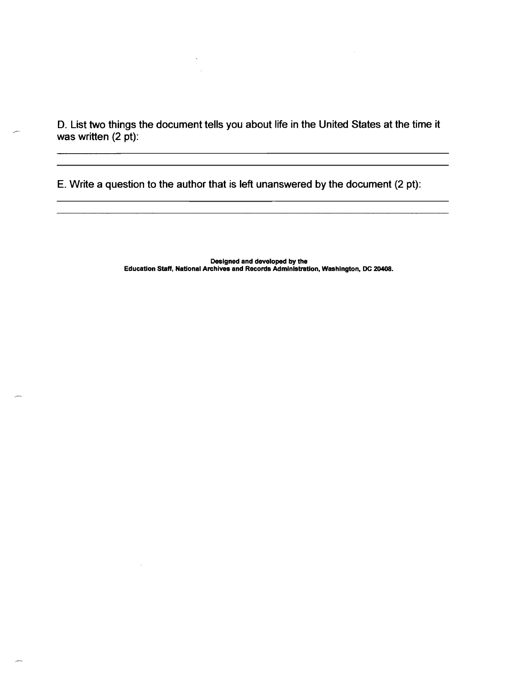D. List two things the document tells you about life in the United States at the time it was written (2 pt):

E. Write a question to the author that is left unanswered by the document (2 pt):

 $\overline{\phantom{a}}$ 

 $\sim$ 

Designed and developed by the Education Staff, National Archives and Records Administration, Washington, DC 20408.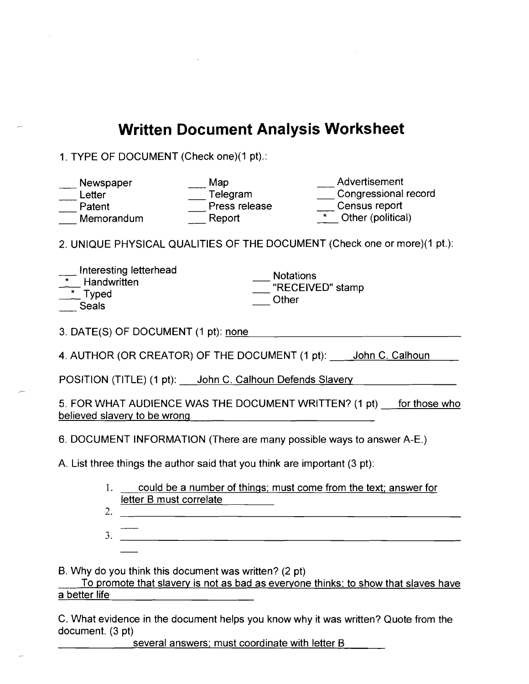# **Written Document Analysis Worksheet**

1. TYPE OF DOCUMENT (Check one)(1 pt).:

| Advertisement<br>Map<br>Newspaper<br>Congressional record<br>Telegram<br>Letter<br>Census report<br>Press release<br>Patent<br>* Other (political)<br>Report<br>Memorandum |  |  |  |  |  |  |
|----------------------------------------------------------------------------------------------------------------------------------------------------------------------------|--|--|--|--|--|--|
| 2. UNIQUE PHYSICAL QUALITIES OF THE DOCUMENT (Check one or more)(1 pt.):                                                                                                   |  |  |  |  |  |  |
| Interesting letterhead<br><b>Notations</b><br>Handwritten<br>"RECEIVED" stamp<br>$*$ Typed<br>Other<br>Seals                                                               |  |  |  |  |  |  |
| 3. DATE(S) OF DOCUMENT (1 pt): none                                                                                                                                        |  |  |  |  |  |  |
| 4. AUTHOR (OR CREATOR) OF THE DOCUMENT (1 pt): ____ John C. Calhoun                                                                                                        |  |  |  |  |  |  |
| POSITION (TITLE) (1 pt): John C. Calhoun Defends Slavery                                                                                                                   |  |  |  |  |  |  |
| 5. FOR WHAT AUDIENCE WAS THE DOCUMENT WRITTEN? (1 pt) for those who<br>believed slavery to be wrong                                                                        |  |  |  |  |  |  |
| 6. DOCUMENT INFORMATION (There are many possible ways to answer A-E.)                                                                                                      |  |  |  |  |  |  |
| A. List three things the author said that you think are important (3 pt):                                                                                                  |  |  |  |  |  |  |
| 1.<br>could be a number of things; must come from the text; answer for<br>letter B must correlate<br>2.                                                                    |  |  |  |  |  |  |

<u> 1988 - Johann Barbara, martxa alemaniar a</u> 3.

B. Why do you think this document was written? (2 pt)

To promote that slavery is not as bad as everyone thinks; to show that slaves have a better life

C. What evidence in the document helps you know why it was written? Quote from the document. (3 pt)

several answers; must coordinate with letter B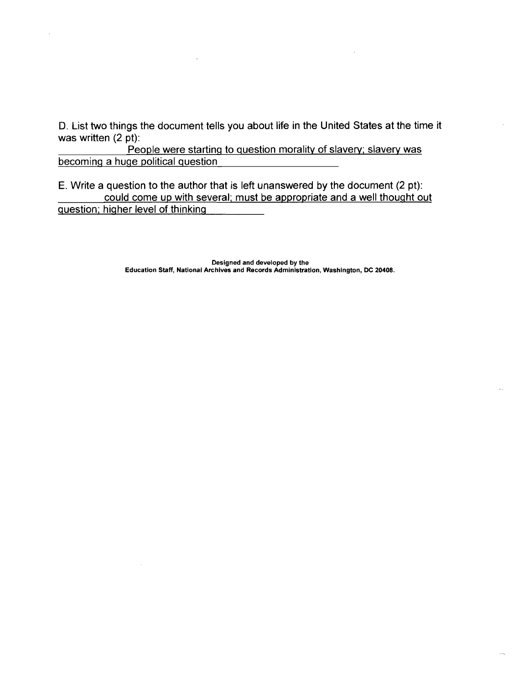D. List two things the document tells you about life in the United States at the time it was written (2 pt):

People were starting to question morality of slavery; slavery was becoming a huge political question

E. Write a question to the author that is left unanswered by the document (2 pt): could come up with several; must be appropriate and a well thought out question; higher level of thinking

> Designed and developed by the Education Staff, National Archives and Records Administration, Washington, DC 20408.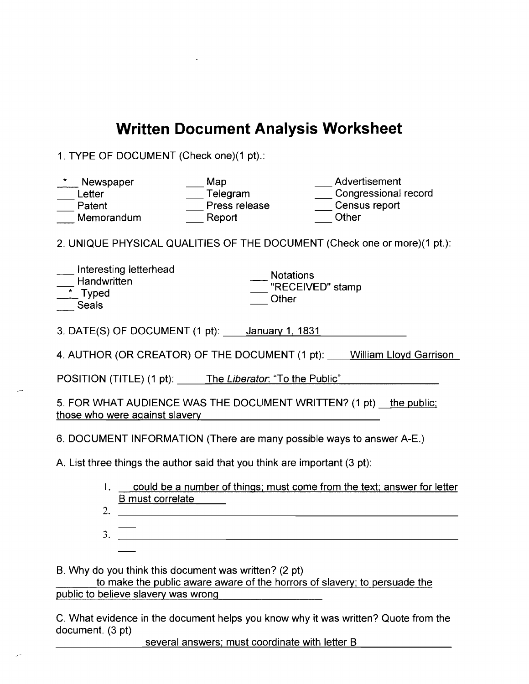# **Written Document Analysis Worksheet**

1. TYPE OF DOCUMENT (Check one)(1 pt).:

| Newspaper<br>Letter<br>Patent<br>Memorandum                                                                                       | Map<br>Telegram<br>Press release<br>Report | Advertisement<br>Congressional record<br>Census report<br>Other |  |  |  |  |
|-----------------------------------------------------------------------------------------------------------------------------------|--------------------------------------------|-----------------------------------------------------------------|--|--|--|--|
| 2. UNIQUE PHYSICAL QUALITIES OF THE DOCUMENT (Check one or more)(1 pt.):                                                          |                                            |                                                                 |  |  |  |  |
| Interesting letterhead<br><b>Notations</b><br>Handwritten<br>"RECEIVED" stamp<br>$\overline{\phantom{a}}$ Typed<br>Other<br>Seals |                                            |                                                                 |  |  |  |  |
| 3. DATE(S) OF DOCUMENT $(1 \text{ pt}):$ January 1, 1831                                                                          |                                            |                                                                 |  |  |  |  |
| 4. AUTHOR (OR CREATOR) OF THE DOCUMENT (1 pt): William Lloyd Garrison                                                             |                                            |                                                                 |  |  |  |  |
| POSITION (TITLE) (1 pt): The Liberator. "To the Public"                                                                           |                                            |                                                                 |  |  |  |  |
| 5. FOR WHAT AUDIENCE WAS THE DOCUMENT WRITTEN? (1 pt) the public;<br>those who were against slavery                               |                                            |                                                                 |  |  |  |  |
| 6. DOCUMENT INFORMATION (There are many possible ways to answer A-E.)                                                             |                                            |                                                                 |  |  |  |  |
| A. List three things the author said that you think are important (3 pt):                                                         |                                            |                                                                 |  |  |  |  |
| could be a number of things; must come from the text; answer for letter<br>1.<br><b>B</b> must correlate<br>2.                    |                                            |                                                                 |  |  |  |  |

3.

B. Why do you think this document was written? (2 pt)

to make the public aware aware of the horrors of slavery; to persuade the public to believe slavery was wrong

C. What evidence in the document helps you know why it was written? Quote from the document. (3 pt)

several answers; must coordinate with letter B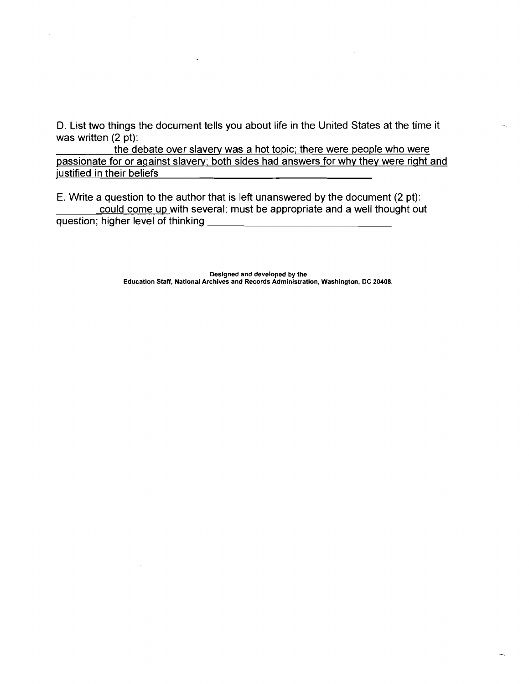D. List two things the document tells you about life in the United States at the time it was written (2 pt):

the debate over slavery was a hot topic; there were people who were passionate for or against slavery; both sides had answers for why they were right and justified in their beliefs

E. Write a question to the author that is left unanswered by the document (2 pt): could come up with several; must be appropriate and a well thought out question; higher level of thinking \_

> Designed and developed by the Education Staff, National Archives and Records Administration, Washington, DC 20408.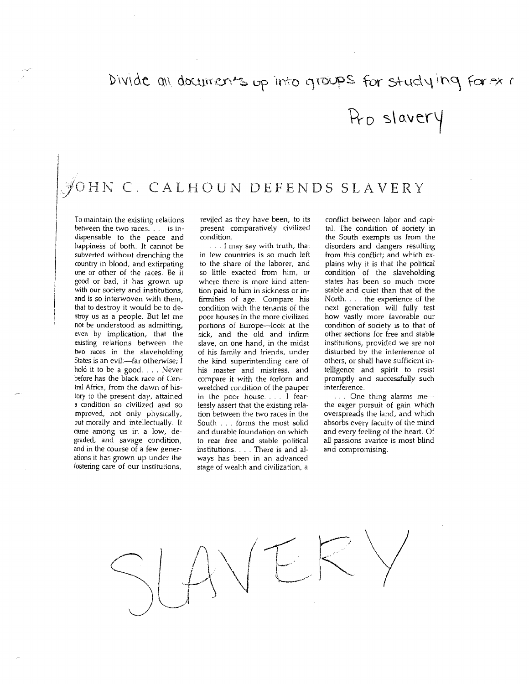# Divide all documents up into groups for studying for ox i

Pro slavery

# JOHN C. CALHOUN DEFENDS !

To maintain the existing relations between the two races.... is indispensable to the peace and happiness of both. It cannot be subverted without drenching the country in blood, and extirpating one or other of the races. Be it good or bad, it has grown up with our society and institutions,<br>and is so interwoven with them, that to destroy it would be to destray us as a people. But let me not be understood as admitting, even by implication, that the existing relations between the two races in the slaveholding States is an evil:-far otherwise; I hold it to be a good. .. Never before has the black race of Central Africa, from the dawn of his~ tory to the present day, attained a condition so civilized and so improved, not only physically, but morally and intellectually. It came among us in a low, de~ graded, and savage condition, and in the course of a few generations it has grown up under the fostering care of our institutions,

i 1 I

 $\overline{\phantom{a}}$ 

reviled as they have been, to its present comparatively civilized condition.

. . . I may say with truth, that in few countries is so much lefi to the share of the laborer, and so little exacted from him, or where there is more kind attention paid to him in sickness or infirmities of age. Compare his condition with the tenants of the poor houses in the more civilized portions of Europe--Iook at the sick, and the old and infirm slave, on one hand, in the midst of his family and friends, under the kind superintending care of his master and mistress, and compare it with the forlorn and wretched condition of the pauper in the poor house.. . I fear~ lessly assert that the existing relation between the two races in the South . . . forms the most solid and durable foundation on which to rear free and stable political institutions.... There is and al~ ways has been in an advanced stage of wealth and civilization, a

conflict between labor and capi~ tal. The condition of society in the South exempts us from the disorders and dangers resulting from this conflict; and which explains why it is that the political condition of the slaveholding states has been so much more stable and quiet than that of the North. .. the experience of the next generation will fully test how vastly more favorable our condition of society is to that of other sections for free and stable institutions, provided we are not disturbed by the interference of others, or shall have sufficient in~ telligence and spirit to resist promptly and successfully such interference.

... One thing alarms methe eager pursuit of gain which overspreads the land, and which absorbs every faculty of the mind and every feeling of the heart. Of all passions avarice is most blind and compromising.

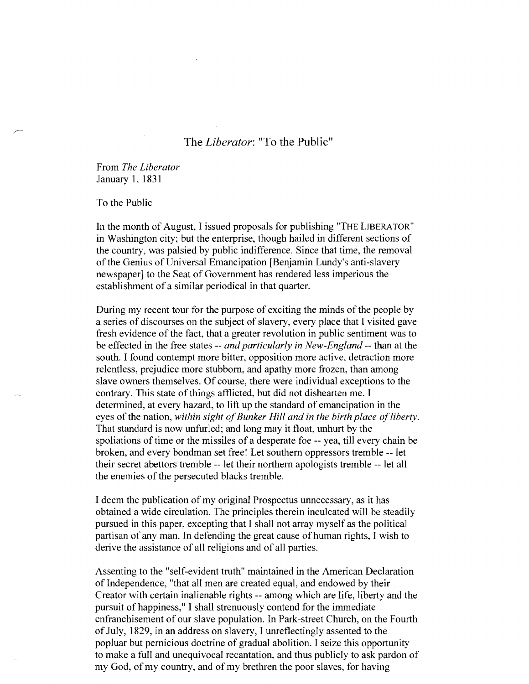## The *Liberator:* "To the Public"

From *The Liberator*  January 1, 1831

To the Public

In the month of August, I issued proposals for publishing "THE LIBERATOR" in Washington city; but the enterprise, though hailed in different sections of the country, was palsied by public indifference. Since that time, the removal of the Genius of Universal Emancipation [Benjamin Lundy's anti-slavery newspaper] to the Seat of Government has rendered less imperious the establishment of a similar periodical in that quarter.

During my recent tour for the purpose of exciting the minds of the people by a series of discourses on the subject of slavery, every place that I visited gave fresh evidence of the fact, that a greater revolution in public sentiment was to be effected in the free states -- *and particularly in New-England* -- than at the south. I found contempt more bitter, opposition more active, detraction more relentless, prejudice more stubborn, and apathy more frozen, than among slave owners themselves. Of course, there were individual exceptions to the contrary. This state of things afflicted, but did not dishearten me. I determined, at every hazard, to lift up the standard of emancipation in the eyes of the nation, within sight of Bunker Hill and in the birth place of liberty. That standard is now unfurled; and long may it float, unhurt by the spoliations of time or the missiles of a desperate foe -- yea, till every chain be broken, and every bondman set free! Let southern oppressors tremble --let their secret abettors tremble -- let their northern apologists tremble -- let all the enemies of the persecuted blacks tremble.

I deem the publication of my original Prospectus unnecessary, as it has obtained a wide circulation. The principles therein inculcated will be steadily pursued in this paper, excepting that I shall not array myself as the political partisan of any man. In defending the great cause of human rights, I wish to derive the assistance of all religions and of all parties.

Assenting to the "self-evident truth" maintained in the American Declaration of Independence, "that all men are created equal, and endowed by their Creator with certain inalienable rights -- among which are life, liberty and the pursuit of happiness," I shall strenuously contend for the immediate enfranchisement of our slave population. In Park-street Church, on the Fourth of July, 1829, in an address on slavery, I unreflectingly assented to the popluar but pernicious doctrine of gradual abolition. I seize this opportunity to make a full and unequivocal recantation, and thus publicly to ask pardon of my God, of my country, and of my brethren the poor slaves, for having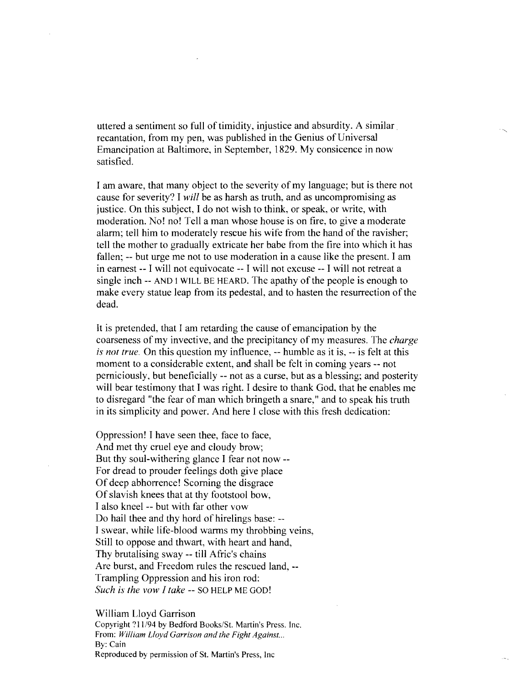uttered a sentiment so full of timidity, injustice and absurdity. A similar recantation, from my pen, was published in the Genius of Universal Emancipation at Baltimore, in September, 1829. My consicence in now satisfied.

I am aware, that many object to the severity of my language; but is there not cause for severity? I *will* be as harsh as truth, and as uncompromising as justice. On this subject, I do not wish to think, or speak, or write, with moderation. No! no! Tell a man whose house is on fire, to give a moderate alarm; tell him to moderately rescue his wife from the hand of the ravisher; tell the mother to gradually extricate her babe from the fire into which it has fallen; -- but urge me not to use moderation in a cause like the present. I am in earnest -- I will not equivocate -- I will not excuse -- I will not retreat a single inch -- AND I WILL BE HEARD. The apathy of the people is enough to make every statue leap from its pedestal, and to hasten the resurrection of the dead.

It is pretended, that I am retarding the cause of emancipation by the coarseness of my invective, and the precipitancy of my measures. The *charge is not true.* On this question my influence, -- humble as it is, -- is felt at this moment to a considerable extent, and shall be felt in coming years -- not perniciously, but beneficially -- not as a curse, but as a blessing; and posterity will bear testimony that I was right. I desire to thank God, that he enables me to disregard "the fear of man which bringeth a snare," and to speak his truth in its simplicity and power. And here I close with this fresh dedication:

Oppression! I have seen thee, face to face, And met thy cruel eye and cloudy brow; But thy soul-withering glance I fear not now - For dread to prouder feelings doth give place Of deep abhorrence! Scorning the disgrace Of slavish knees that at thy footstool bow, I also kneel -- but with far other vow Do hail thee and thy hord of hirelings base: --I swear, while life-blood warms my throbbing veins, Still to oppose and thwart, with heart and hand, Thy brutalising sway -- till Afric's chains Are burst, and Freedom rules the rescued land, - Trampling Oppression and his iron rod: *Such is the vow I take* -- so HELP ME GOD!

#### William Lloyd Garrison

Copyright? 11/94 by Bedford Books/St. Martin's Press. Inc. From: *William Lloyd Garrison and the Fight Against...*  By: Cain Reproduced by permission of St. Martin's Press, Inc